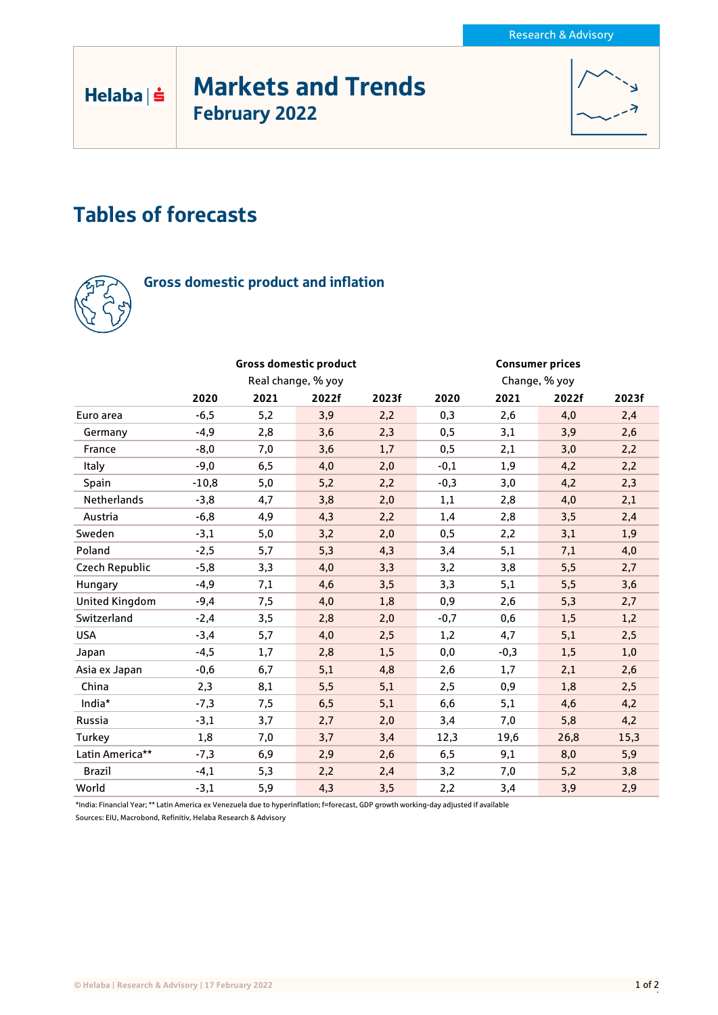# Markets and Trends February 2022



## Tables of forecasts



Helaba | s

## Gross domestic product and inflation

|                       |                    |      | <b>Gross domestic product</b> |       | <b>Consumer prices</b> |        |       |       |
|-----------------------|--------------------|------|-------------------------------|-------|------------------------|--------|-------|-------|
|                       | Real change, % yoy |      |                               |       | Change, % yoy          |        |       |       |
|                       | 2020               | 2021 | 2022f                         | 2023f | 2020                   | 2021   | 2022f | 2023f |
| Euro area             | $-6,5$             | 5,2  | 3,9                           | 2,2   | 0,3                    | 2,6    | 4,0   | 2,4   |
| Germany               | $-4,9$             | 2,8  | 3,6                           | 2,3   | 0,5                    | 3,1    | 3,9   | 2,6   |
| France                | $-8,0$             | 7,0  | 3,6                           | 1,7   | 0,5                    | 2,1    | 3,0   | 2,2   |
| Italy                 | $-9,0$             | 6,5  | 4,0                           | 2,0   | $-0,1$                 | 1,9    | 4,2   | 2,2   |
| Spain                 | $-10,8$            | 5,0  | 5,2                           | 2,2   | $-0,3$                 | 3,0    | 4,2   | 2,3   |
| Netherlands           | $-3,8$             | 4,7  | 3,8                           | 2,0   | 1,1                    | 2,8    | 4,0   | 2,1   |
| Austria               | $-6,8$             | 4,9  | 4,3                           | 2,2   | 1,4                    | 2,8    | 3,5   | 2,4   |
| Sweden                | $-3,1$             | 5,0  | 3,2                           | 2,0   | 0,5                    | 2,2    | 3,1   | 1,9   |
| Poland                | $-2,5$             | 5,7  | 5,3                           | 4,3   | 3,4                    | 5,1    | 7,1   | 4,0   |
| Czech Republic        | $-5,8$             | 3,3  | 4,0                           | 3,3   | 3,2                    | 3,8    | 5,5   | 2,7   |
| Hungary               | -4,9               | 7,1  | 4,6                           | 3,5   | 3,3                    | 5,1    | 5,5   | 3,6   |
| <b>United Kingdom</b> | $-9,4$             | 7,5  | 4,0                           | 1,8   | 0,9                    | 2,6    | 5,3   | 2,7   |
| Switzerland           | $-2,4$             | 3,5  | 2,8                           | 2,0   | $-0,7$                 | 0,6    | 1,5   | 1,2   |
| <b>USA</b>            | $-3,4$             | 5,7  | 4,0                           | 2,5   | 1,2                    | 4,7    | 5,1   | 2,5   |
| Japan                 | $-4,5$             | 1,7  | 2,8                           | 1,5   | 0,0                    | $-0,3$ | 1,5   | 1,0   |
| Asia ex Japan         | $-0,6$             | 6,7  | 5,1                           | 4,8   | 2,6                    | 1,7    | 2,1   | 2,6   |
| China                 | 2,3                | 8,1  | 5,5                           | 5,1   | 2,5                    | 0,9    | 1,8   | 2,5   |
| India*                | $-7,3$             | 7,5  | 6,5                           | 5,1   | 6,6                    | 5,1    | 4,6   | 4,2   |
| Russia                | $-3,1$             | 3,7  | 2,7                           | 2,0   | 3,4                    | 7,0    | 5,8   | 4,2   |
| Turkey                | 1,8                | 7,0  | 3,7                           | 3,4   | 12,3                   | 19,6   | 26,8  | 15,3  |
| Latin America**       | $-7,3$             | 6,9  | 2,9                           | 2,6   | 6, 5                   | 9,1    | 8,0   | 5,9   |
| <b>Brazil</b>         | $-4,1$             | 5,3  | 2,2                           | 2,4   | 3,2                    | 7,0    | 5,2   | 3,8   |
| World                 | $-3,1$             | 5,9  | 4,3                           | 3,5   | 2,2                    | 3,4    | 3,9   | 2,9   |

\*India: Financial Year; \*\* Latin America ex Venezuela due to hyperinflation; f=forecast, GDP growth working-day adjusted if available

Sources: EIU, Macrobond, Refinitiv, Helaba Research & Advisory